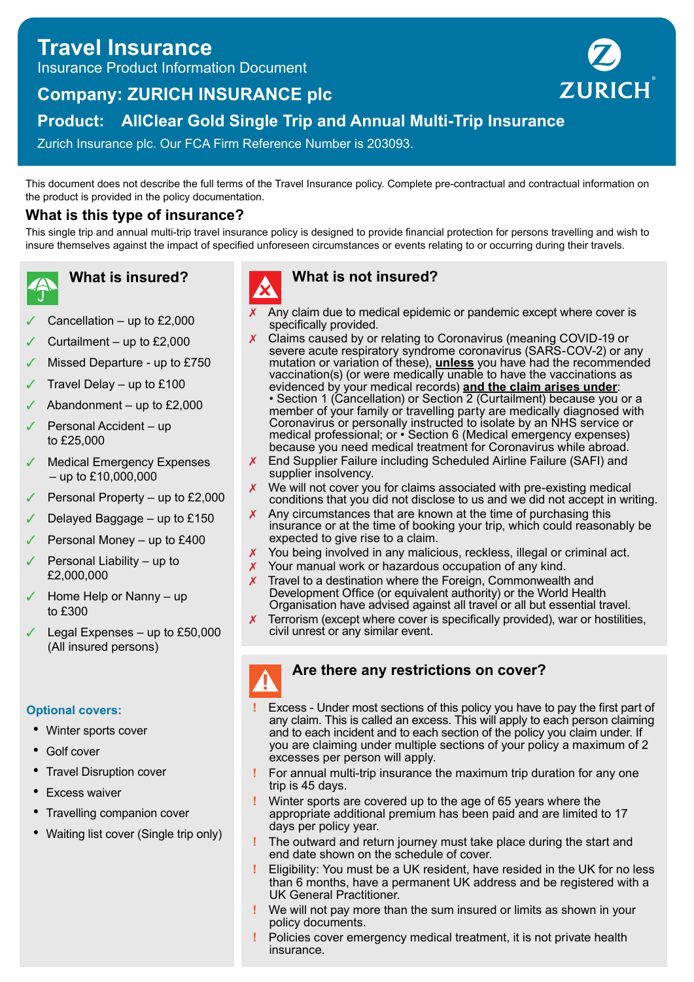# **Travel Insurance**

Insurance Product Information Document

# **Company: ZURICH INSURANCE plc**



## **Product: AllClear Gold Single Trip and Annual Multi-Trip Insurance**

Zurich Insurance plc. Our FCA Firm Reference Number is 203093.

This document does not describe the full terms of the Travel Insurance policy. Complete pre-contractual and contractual information on the product is provided in the policy documentation.

#### **What is this type of insurance?**

This single trip and annual multi-trip travel insurance policy is designed to provide financial protection for persons travelling and wish to insure themselves against the impact of specified unforeseen circumstances or events relating to or occurring during their travels.

**What is insured?**

- Cancellation up to  $£2,000$
- Curtailment  $-$  up to £2,000
- Missed Departure up to £750
- Travel Delay up to  $£100$
- ✓ Abandonment up to £2,000
- Personal Accident up to £25,000
- Medical Emergency Expenses – up to £10,000,000
- Personal Property up to £2,000
- Delayed Baggage  $-$  up to £150
- Personal Money up to £400
- Personal Liability up to £2,000,000
- Home Help or Nanny up to £300
- Legal Expenses up to £50,000 (All insured persons)

#### **Optional covers:**

- Winter sports cover
- Golf cover
- Travel Disruption cover
- Excess waiver
- Travelling companion cover
- Waiting list cover (Single trip only)

### **What is not insured?**

- $x$  Any claim due to medical epidemic or pandemic except where cover is specifically provided.
- X Claims caused by or relating to Coronavirus (meaning COVID-19 or severe acute respiratory syndrome coronavirus (SARS-COV-2) or any mutation or variation of these), **unless** you have had the recommended vaccination(s) (or were medically unable to have the vaccinations as evidenced by your medical records) **and the claim arises under**: • Section 1 (Cancellation) or Section 2 (Curtailment) because you or a member of your family or travelling party are medically diagnosed with Coronavirus or personally instructed to isolate by an NHS service or medical professional; or • Section 6 (Medical emergency expenses) because you need medical treatment for Coronavirus while abroad.
- ✗ End Supplier Failure including Scheduled Airline Failure (SAFI) and supplier insolvency.
- We will not cover you for claims associated with pre-existing medical conditions that you did not disclose to us and we did not accept in writing.
- $x$  Any circumstances that are known at the time of purchasing this insurance or at the time of booking your trip, which could reasonably be expected to give rise to a claim.
- $\chi$  You being involved in any malicious, reckless, illegal or criminal act.
- X Your manual work or hazardous occupation of any kind.
- Travel to a destination where the Foreign, Commonwealth and Development Office (or equivalent authority) or the World Health Organisation have advised against all travel or all but essential travel.
- ✗ Terrorism (except where cover is specifically provided), war or hostilities, civil unrest or any similar event.

#### **Are there any restrictions on cover?**

- **!** Excess Under most sections of this policy you have to pay the first part of any claim. This is called an excess. This will apply to each person claiming and to each incident and to each section of the policy you claim under. If you are claiming under multiple sections of your policy a maximum of 2 excesses per person will apply.
	- **!** For annual multi-trip insurance the maximum trip duration for any one trip is 45 days.
	- **!** Winter sports are covered up to the age of 65 years where the appropriate additional premium has been paid and are limited to 17 days per policy year.
	- **!** The outward and return journey must take place during the start and end date shown on the schedule of cover.
	- **!** Eligibility: You must be a UK resident, have resided in the UK for no less than 6 months, have a permanent UK address and be registered with a UK General Practitioner.
	- **!** We will not pay more than the sum insured or limits as shown in your policy documents.
	- **!** Policies cover emergency medical treatment, it is not private health insurance.